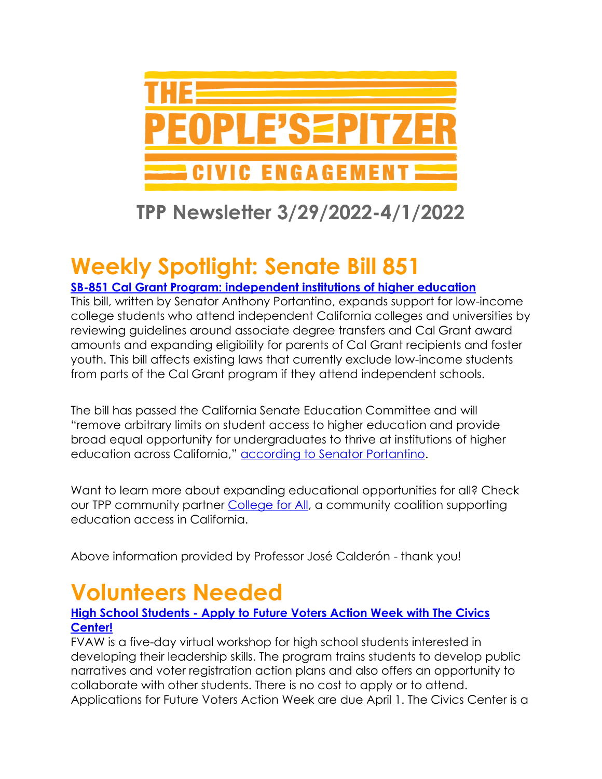

### **TPP Newsletter 3/29/2022-4/1/2022**

# **Weekly Spotlight: Senate Bill 851**

### **[SB-851 Cal Grant Program: independent institutions of higher education](https://leginfo.legislature.ca.gov/faces/billNavClient.xhtml?bill_id=202120220SB851)**

This bill, written by Senator Anthony Portantino, expands support for low-income college students who attend independent California colleges and universities by reviewing guidelines around associate degree transfers and Cal Grant award amounts and expanding eligibility for parents of Cal Grant recipients and foster youth. This bill affects existing laws that currently exclude low-income students from parts of the Cal Grant program if they attend independent schools.

The bill has passed the California Senate Education Committee and will "remove arbitrary limits on student access to higher education and provide broad equal opportunity for undergraduates to thrive at institutions of higher education across California," [according to Senator Portantino.](https://sd25.senate.ca.gov/news/2022-03-10/senator-portantino%E2%80%99s-cal-grant-equity-college-access-act-passes-senate-education)

Want to learn more about expanding educational opportunities for all? Check our TPP community partner [College for All,](https://www.facebook.com/collegeforallcoalition/) a community coalition supporting education access in California.

Above information provided by Professor José Calderón - thank you!

# **Volunteers Needed**

#### **High School Students - [Apply to Future Voters Action Week with The Civics](https://secure.everyaction.com/jUJshlz96k6poAKpSpg9tQ2)  [Center!](https://secure.everyaction.com/jUJshlz96k6poAKpSpg9tQ2)**

FVAW is a five-day virtual workshop for high school students interested in developing their leadership skills. The program trains students to develop public narratives and voter registration action plans and also offers an opportunity to collaborate with other students. There is no cost to apply or to attend. Applications for Future Voters Action Week are due April 1. The Civics Center is a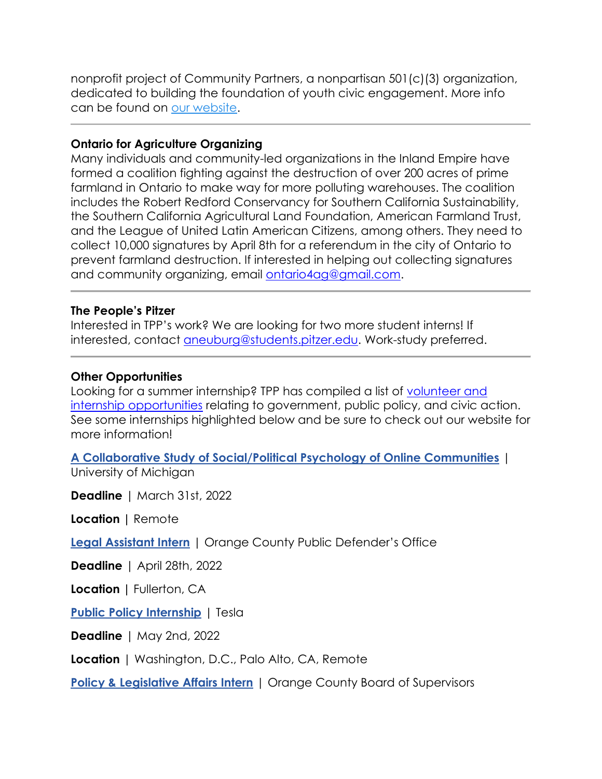nonprofit project of Community Partners, a nonpartisan 501(c)(3) organization, dedicated to building the foundation of youth civic engagement. More info can be found on [our website.](https://www.thecivicscenter.org/)

#### **Ontario for Agriculture Organizing**

Many individuals and community-led organizations in the Inland Empire have formed a coalition fighting against the destruction of over 200 acres of prime farmland in Ontario to make way for more polluting warehouses. The coalition includes the Robert Redford Conservancy for Southern California Sustainability, the Southern California Agricultural Land Foundation, American Farmland Trust, and the League of United Latin American Citizens, among others. They need to collect 10,000 signatures by April 8th for a referendum in the city of Ontario to prevent farmland destruction. If interested in helping out collecting signatures and community organizing, email [ontario4ag@gmail.com.](mailto:ontario4ag@gmail.com)

#### **The People's Pitzer**

Interested in TPP's work? We are looking for two more student interns! If interested, contact [aneuburg@students.pitzer.edu.](mailto:aneuburg@students.pitzer.edu) Work-study preferred.

#### **Other Opportunities**

Looking for a summer internship? TPP has compiled a list of [volunteer and](https://www.pitzer.edu/cec/community-pillars/peoples-pitzer/tpp-volunteer-and-internship-opportunities/)  [internship opportunities](https://www.pitzer.edu/cec/community-pillars/peoples-pitzer/tpp-volunteer-and-internship-opportunities/) relating to government, public policy, and civic action. See some internships highlighted below and be sure to check out our website for more information!

**[A Collaborative Study of Social/Political Psychology of Online Communities](https://app.joinhandshake.com/stu/jobs/5864884?ref=open-in-new-tab&search_id=173c79b3-158f-4253-afbc-7b1b2208b303)** | University of Michigan

**Deadline** | March 31st, 2022

**Location** | Remote

**[Legal Assistant Intern](https://app.joinhandshake.com/stu/jobs/5825601?ref=open-in-new-tab&search_id=17e20f22-b347-4596-ba06-df3357ea79f4)** | Orange County Public Defender's Office

**Deadline** | April 28th, 2022

**Location |** Fullerton, CA

**[Public Policy Internship](https://app.joinhandshake.com/stu/jobs/5743814?ref=open-in-new-tab&search_id=17e20f22-b347-4596-ba06-df3357ea79f4)** | Tesla

**Deadline** | May 2nd, 2022

**Location** | Washington, D.C., Palo Alto, CA, Remote

**[Policy & Legislative Affairs Intern](https://app.joinhandshake.com/stu/jobs/5423371?ref=open-in-new-tab&search_id=17e20f22-b347-4596-ba06-df3357ea79f4)** | Orange County Board of Supervisors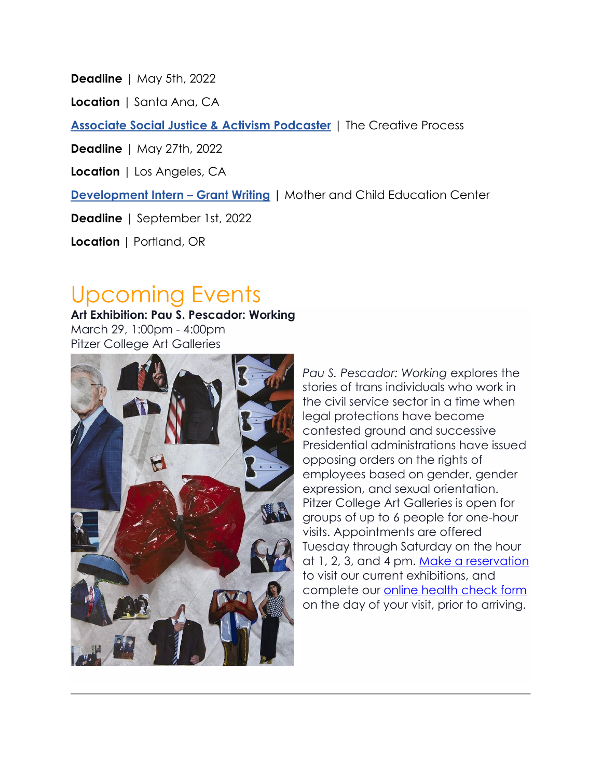**Deadline** | May 5th, 2022

**Location** | Santa Ana, CA

**[Associate Social Justice & Activism Podcaster](https://app.joinhandshake.com/stu/jobs/5675834?ref=open-in-new-tab&search_id=17e20f22-b347-4596-ba06-df3357ea79f4)** | The Creative Process

**Deadline** | May 27th, 2022

**Location** | Los Angeles, CA

**[Development Intern](https://app.joinhandshake.com/stu/jobs/5527217?ref=open-in-new-tab&search_id=e18de8f7-cea7-4c4b-99e2-f7f6cbe50a7d) – Grant Writing** | Mother and Child Education Center

**Deadline** | September 1st, 2022

**Location |** Portland, OR

### Upcoming Events

**Art Exhibition: Pau S. Pescador: Working** March 29, 1:00pm - 4:00pm Pitzer College Art Galleries



*Pau S. Pescador: Working* explores the stories of trans individuals who work in the civil service sector in a time when legal protections have become contested ground and successive Presidential administrations have issued opposing orders on the rights of employees based on gender, gender expression, and sexual orientation. Pitzer College Art Galleries is open for groups of up to 6 people for one-hour visits. Appointments are offered Tuesday through Saturday on the hour at 1, 2, 3, and 4 pm. [Make a reservation](https://www.pitzer.edu/galleries/schedule-a-visit/) to visit our current exhibitions, and complete our [online health check form](https://pitzercollege.sjc1.qualtrics.com/jfe/form/SV_9Hyzup9XwrWVjzT) on the day of your visit, prior to arriving.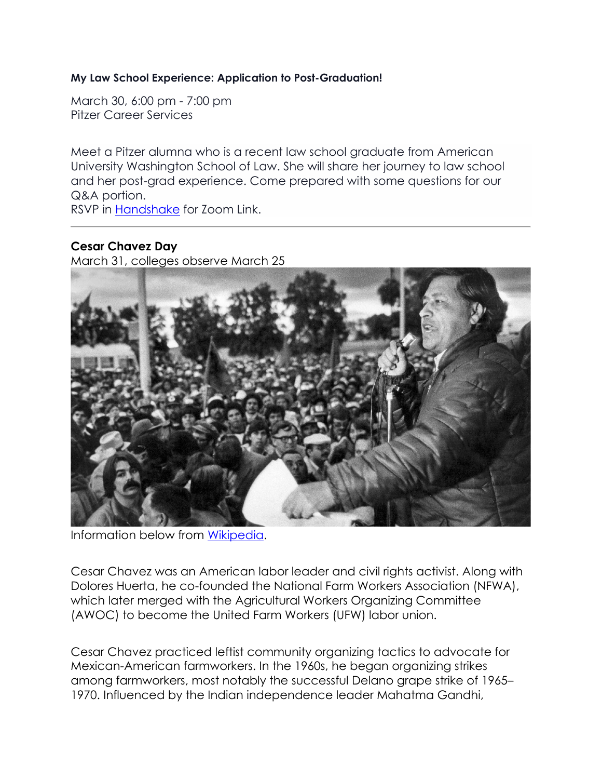#### **My Law School Experience: Application to Post-Graduation!**

March 30, 6:00 pm - 7:00 pm Pitzer Career Services

Meet a Pitzer alumna who is a recent law school graduate from American University Washington School of Law. She will share her journey to law school and her post-grad experience. Come prepared with some questions for our Q&A portion.

RSVP in [Handshake](https://pitzer.joinhandshake.com/events/937541/share_preview) for Zoom Link.

#### **Cesar Chavez Day**

March 31, colleges observe March 25



Information below from [Wikipedia.](https://en.wikipedia.org/wiki/Cesar_Chavez)

Cesar Chavez was an American labor leader and civil rights activist. Along with Dolores Huerta, he co-founded the National Farm Workers Association (NFWA), which later merged with the Agricultural Workers Organizing Committee (AWOC) to become the United Farm Workers (UFW) labor union.

Cesar Chavez practiced leftist community organizing tactics to advocate for Mexican-American farmworkers. In the 1960s, he began organizing strikes among farmworkers, most notably the successful Delano grape strike of 1965– 1970. Influenced by the Indian independence leader Mahatma Gandhi,